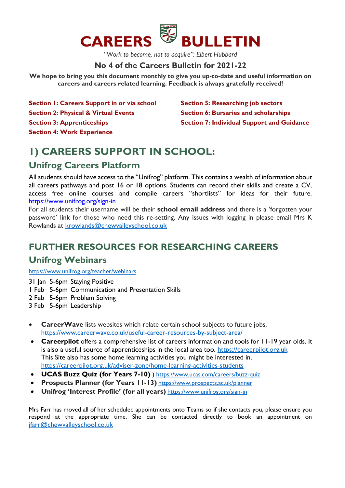

*"Work to become, not to acquire": Elbert Hubbard*

## **No 4 of the Careers Bulletin for 2021-22**

**We hope to bring you this document monthly to give you up-to-date and useful information on careers and careers related learning. Feedback is always gratefully received!**

- **Section 1: Careers Support in or via school Section 2: Physical & Virtual Events**
- 

**Section 3: Apprenticeships** 

**Section 5: Researching job sectors Section 6: Bursaries and scholarships Section 7: Individual Support and Guidance** 

#### **Section 4: Work Experience**

# **1) CAREERS SUPPORT IN SCHOOL:**

## **Unifrog Careers Platform**

All students should have access to the "Unifrog" platform. This contains a wealth of information about all careers pathways and post 16 or 18 options. Students can record their skills and create a CV, access free online courses and compile careers "shortlists" for ideas for their future. https://www.unifrog.org/sign-in

For all students their username will be their **school email address** and there is a 'forgotten your password' link for those who need this re-setting. Any issues with logging in please email Mrs K Rowlands at [krowlands@chewvalleyschool.co.uk](mailto:krowlands@chewvalleyschool.co.uk)

## **FURTHER RESOURCES FOR RESEARCHING CAREERS**

## **Unifrog Webinars**

<https://www.unifrog.org/teacher/webinars>

- 31 Jan 5-6pm Staying Positive
- 1 Feb 5-6pm Communication and Presentation Skills
- 2 Feb 5-6pm Problem Solving
- 3 Feb 5-6pm Leadership
- **CareerWave** lists websites which relate certain school subjects to future jobs. <https://www.careerwave.co.uk/useful-career-resources-by-subject-area/>
- **Careerpilot** offers a comprehensive list of careers information and tools for 11-19 year olds. It is also a useful source of apprenticeships in the local area too. [https://careerpilot.org.uk](https://careerpilot.org.uk/) This Site also has some home learning activities you might be interested in. <https://careerpilot.org.uk/adviser-zone/home-learning-activities-students>
- **UCAS Buzz Quiz (for Years 7-10)** )<https://www.ucas.com/careers/buzz-quiz>
- **Prospects Planner (for Years 11-13)** https://www.prospects.ac.uk/planner
- **Unifrog 'Interest Profile' (for all years)** https://www.unifrog.org/sign-in

Mrs Farr has moved all of her scheduled appointments onto Teams so if she contacts you, please ensure you respond at the appropriate time. She can be contacted directly to book an appointment on ifarr@chewvalleyschool.co.uk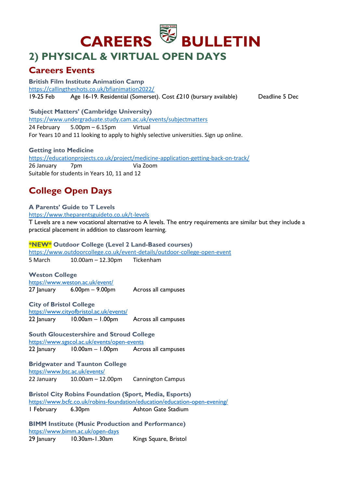

# **2) PHYSICAL & VIRTUAL OPEN DAYS**

## **Careers Events**

**British Film Institute Animation Camp**  <https://callingtheshots.co.uk/bfianimation2022/> 19-25 Feb Age 16-19. Residential (Somerset). Cost £210 (bursary available) Deadline 5 Dec

'**Subject Matters' (Cambridge University)** https://www.undergraduate.study.cam.ac.uk/events/subjectmatters 24 February 5.00pm – 6.15pm Virtual

For Years 10 and 11 looking to apply to highly selective universities. Sign up online.

#### **Getting into Medicine**

<https://educationprojects.co.uk/project/medicine-application-getting-back-on-track/> 26 January 7pm Via Zoom Suitable for students in Years 10, 11 and 12

## **College Open Days**

## **A Parents' Guide to T Levels**

<https://www.theparentsguideto.co.uk/t-levels>

T Levels are a new vocational alternative to A levels. The entry requirements are similar but they include a practical placement in addition to classroom learning.

**\*NEW\* Outdoor College (Level 2 Land-Based courses)**  <https://www.outdoorcollege.co.uk/event-details/outdoor-college-open-event> 5 March 10.00am – 12.30pm Tickenham

**Weston College**  https://www.weston.ac.uk/event/ 27 January 6.00pm – 9.00pm – Across all campuses

**City of Bristol College**  <https://www.cityofbristol.ac.uk/events/> 22 January 10.00am – 1.00pm Across all campuses

**South Gloucestershire and Stroud College**  <https://www.sgscol.ac.uk/events/open-events> 22 January 10.00am – 1.00pm Across all campuses

**Bridgwater and Taunton College**  <https://www.btc.ac.uk/events/> 22 January 10.00am – 12.00pm Cannington Campus

**Bristol City Robins Foundation (Sport, Media, Esports)**  <https://www.bcfc.co.uk/robins-foundation/education/education-open-evening/> 1 February 6.30pm Ashton Gate Stadium

**BIMM Institute (Music Production and Performance)**  <https://www.bimm.ac.uk/open-days> 29 January 10.30am-1.30am Kings Square, Bristol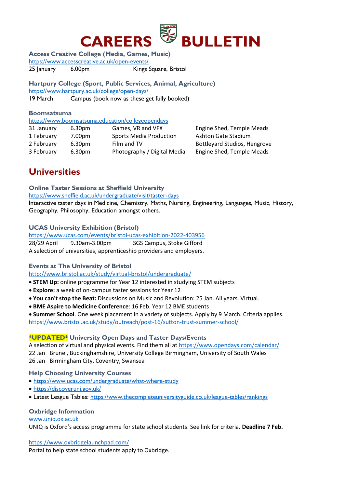

**Access Creative College (Media, Games, Music)** 

<https://www.accesscreative.ac.uk/open-events/>

25 January 6.00pm Kings Square, Bristol

**Hartpury College (Sport, Public Services, Animal, Agriculture)**  <https://www.hartpury.ac.uk/college/open-days/> 19 March Campus (book now as these get fully booked)

#### **Boomsatsuma**

| https://www.boomsatsuma.education/collegeopendays |                    |                                |                              |  |  |  |  |
|---------------------------------------------------|--------------------|--------------------------------|------------------------------|--|--|--|--|
| 31 January                                        | 6.30pm             | Games, VR and VFX              | Engine Shed, Temple Meads    |  |  |  |  |
| 1 February                                        | 7.00pm             | <b>Sports Media Production</b> | Ashton Gate Stadium          |  |  |  |  |
| 2 February                                        | 6.30 <sub>pm</sub> | Film and TV                    | Bottleyard Studios, Hengrove |  |  |  |  |
| 3 February                                        | 6.30 <sub>pm</sub> | Photography / Digital Media    | Engine Shed, Temple Meads    |  |  |  |  |

## **Universities**

**Online Taster Sessions at Sheffield University** 

<https://www.sheffield.ac.uk/undergraduate/visit/taster-days>

Interactive taster days in Medicine, Chemistry, Maths, Nursing, Engineering, Languages, Music, History, Geography, Philosophy, Education amongst others.

#### **UCAS University Exhibition (Bristol)**

<https://www.ucas.com/events/bristol-ucas-exhibition-2022-403956> 28/29 April 9.30am-3.00pm SGS Campus, Stoke Gifford A selection of universities, apprenticeship providers and employers.

#### **Events at The University of Bristol**

<http://www.bristol.ac.uk/study/virtual-bristol/undergraduate/>

• **STEM Up:** online programme for Year 12 interested in studying STEM subjects

- **Explore:** a week of on-campus taster sessions for Year 12
- **You can't stop the Beat:** Discussions on Music and Revolution: 25 Jan. All years. Virtual.

• **BME Aspire to Medicine Conference**: 16 Feb. Year 12 BME students

• **Summer School**. One week placement in a variety of subjects. Apply by 9 March. Criteria applies. https://www.bristol.ac.uk/study/outreach/post-16/sutton-trust-summer-school/

#### **\*UPDATED\* University Open Days and Taster Days/Events**

A selection of virtual and physical events. Find them all a[t https://www.opendays.com/calendar/](https://www.opendays.com/calendar/) 22 Jan Brunel, Buckinghamshire, University College Birmingham, University of South Wales 26 Jan Birmingham City, Coventry, Swansea

#### **Help Choosing University Courses**

- <https://www.ucas.com/undergraduate/what-where-study>
- <https://discoveruni.gov.uk/>
- Latest League Tables:<https://www.thecompleteuniversityguide.co.uk/league-tables/rankings>

#### **Oxbridge Information**

#### [www.uniq.ox.ac.uk](http://www.uniq.ox.ac.uk/)

UNIQ is Oxford's access programme for state school students. See link for criteria. **Deadline 7 Feb.**

#### <https://www.oxbridgelaunchpad.com/>

Portal to help state school students apply to Oxbridge.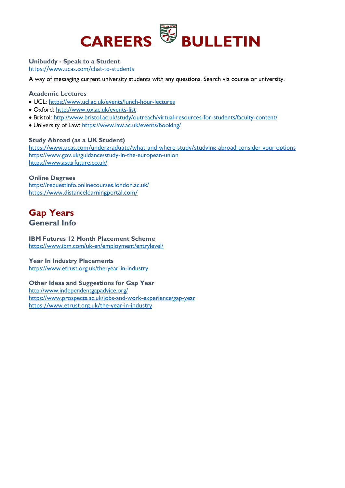

#### **Unibuddy - Speak to a Student**

<https://www.ucas.com/chat-to-students>

A way of messaging current university students with any questions. Search via course or university.

#### **Academic Lectures**

- UCL:<https://www.ucl.ac.uk/events/lunch-hour-lectures>
- Oxford:<http://www.ox.ac.uk/events-list>
- Bristol:<http://www.bristol.ac.uk/study/outreach/virtual-resources-for-students/faculty-content/>
- University of Law:<https://www.law.ac.uk/events/booking/>

#### **Study Abroad (as a UK Student)**

https://www.ucas.com/undergraduate/what-and-where-study/studying-abroad-consider-your-options <https://www.gov.uk/guidance/study-in-the-european-union> <https://www.astarfuture.co.uk/>

#### **Online Degrees**

<https://requestinfo.onlinecourses.london.ac.uk/> https://www.distancelearningportal.com/

#### **Gap Years General Info**

#### **IBM Futures 12 Month Placement Scheme**

<https://www.ibm.com/uk-en/employment/entrylevel/>

## **Year In Industry Placements**

<https://www.etrust.org.uk/the-year-in-industry>

**Other Ideas and Suggestions for Gap Year**  <http://www.independentgapadvice.org/> <https://www.prospects.ac.uk/jobs-and-work-experience/gap-year> https://www.etrust.org.uk/the-year-in-industry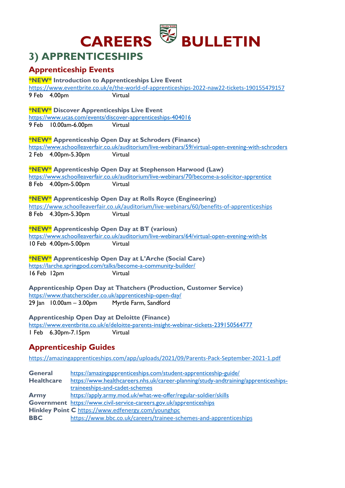

# **3) APPRENTICESHIPS**

## **Apprenticeship Events**

|                   |              |                              | <b>*NEW*</b> Introduction to Apprenticeships Live Event                                                                                      |
|-------------------|--------------|------------------------------|----------------------------------------------------------------------------------------------------------------------------------------------|
|                   |              |                              | https://www.eventbrite.co.uk/e/the-world-of-apprenticeships-2022-naw22-tickets-190155479157                                                  |
|                   | 9 Feb 4.00pm |                              | Virtual                                                                                                                                      |
|                   |              |                              |                                                                                                                                              |
|                   |              |                              | <b>*NEW*</b> Discover Apprenticeships Live Event                                                                                             |
|                   |              |                              | https://www.ucas.com/events/discover-apprenticeships-404016<br>Virtual                                                                       |
|                   |              | 9 Feb 10.00am-6.00pm         |                                                                                                                                              |
|                   |              |                              | *NEW* Apprenticeship Open Day at Schroders (Finance)                                                                                         |
|                   |              |                              | https://www.schoolleaverfair.co.uk/auditorium/live-webinars/59/virtual-open-evening-with-schroders                                           |
|                   |              | 2 Feb 4.00pm-5.30pm          | Virtual                                                                                                                                      |
|                   |              |                              | *NEW* Apprenticeship Open Day at Stephenson Harwood (Law)                                                                                    |
|                   |              |                              | https://www.schoolleaverfair.co.uk/auditorium/live-webinars/70/become-a-solicitor-apprentice                                                 |
|                   |              | 8 Feb 4.00pm-5.00pm          | Virtual                                                                                                                                      |
|                   |              |                              |                                                                                                                                              |
|                   |              |                              | *NEW* Apprenticeship Open Day at Rolls Royce (Engineering)                                                                                   |
|                   |              |                              | https://www.schoolleaverfair.co.uk/auditorium/live-webinars/60/benefits-of-apprenticeships                                                   |
|                   |              | 8 Feb 4.30pm-5.30pm          | Virtual                                                                                                                                      |
|                   |              |                              |                                                                                                                                              |
|                   |              |                              | *NEW* Apprenticeship Open Day at BT (various)                                                                                                |
|                   |              |                              | https://www.schoolleaverfair.co.uk/auditorium/live-webinars/64/virtual-open-evening-with-bt                                                  |
|                   |              | 10 Feb 4.00pm-5.00pm         | Virtual                                                                                                                                      |
|                   |              |                              | *NEW* Apprenticeship Open Day at L'Arche (Social Care)                                                                                       |
|                   |              |                              | https://larche.springpod.com/talks/become-a-community-builder/                                                                               |
| 16 Feb 12pm       |              |                              | Virtual                                                                                                                                      |
|                   |              |                              |                                                                                                                                              |
|                   |              |                              | <b>Apprenticeship Open Day at Thatchers (Production, Customer Service)</b>                                                                   |
|                   |              |                              | https://www.thatcherscider.co.uk/apprenticeship-open-day/                                                                                    |
|                   |              | 29 Jan 10.00am - 3.00pm      | Myrtle Farm, Sandford                                                                                                                        |
|                   |              |                              |                                                                                                                                              |
|                   |              |                              | <b>Apprenticeship Open Day at Deloitte (Finance)</b><br>https://www.eventbrite.co.uk/e/deloitte-parents-insight-webinar-tickets-239150564777 |
|                   |              | I Feb 6.30pm-7.15pm          | Virtual                                                                                                                                      |
|                   |              |                              |                                                                                                                                              |
|                   |              | <b>Apprenticeship Guides</b> |                                                                                                                                              |
|                   |              |                              | https://amazingapprenticeships.com/app/uploads/2021/09/Parents-Pack-September-2021-1.pdf                                                     |
|                   |              |                              |                                                                                                                                              |
| <b>General</b>    |              |                              | https://amazingapprenticeships.com/student-apprenticeship-guide/                                                                             |
| <b>Healthcare</b> |              |                              | https://www.healthcareers.nhs.uk/career-planning/study-andtraining/apprenticeships-                                                          |
|                   |              |                              | traineeships-and-cadet-schemes                                                                                                               |
| <b>Army</b>       |              |                              | https://apply.army.mod.uk/what-we-offer/regular-soldier/skills                                                                               |
|                   |              |                              | Government https://www.civil-service-careers.gov.uk/apprenticeships                                                                          |
|                   |              |                              | Hinkley Point C https://www.edfenergy.com/younghpc                                                                                           |

**BBC** <https://www.bbc.co.uk/careers/trainee-schemes-and-apprenticeships>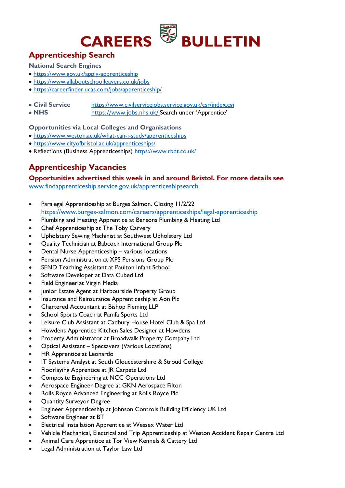

## **Apprenticeship Search**

#### **National Search Engines**

- <https://www.gov.uk/apply-apprenticeship>
- <https://www.allaboutschoolleavers.co.uk/jobs>
- <https://careerfinder.ucas.com/jobs/apprenticeship/>
- **Civil Service** <https://www.civilservicejobs.service.gov.uk/csr/index.cgi>
- **NHS** https://www.jobs.nhs.uk/ Search under 'Apprentice'

#### **Opportunities via Local Colleges and Organisations**

- <https://www.weston.ac.uk/what-can-i-study/apprenticeships>
- <https://www.cityofbristol.ac.uk/apprenticeships/>
- Reflections (Business Apprenticeships)<https://www.rbdt.co.uk/>

## **Apprenticeship Vacancies**

#### **Opportunities advertised this week in and around Bristol. For more details see**

[www.findapprenticeship.service.gov.uk/apprenticeshipsearch](http://www.findapprenticeship.service.gov.uk/apprenticeshipsearch)

- Paralegal Apprenticeship at Burges Salmon. Closing 11/2/22 https://www.burges-salmon.com/careers/apprenticeships/legal-apprenticeship
- Plumbing and Heating Apprentice at Bensons Plumbing & Heating Ltd
- Chef Apprenticeship at The Toby Carvery
- Upholstery Sewing Machinist at Southwest Upholstery Ltd
- Quality Technician at Babcock International Group Plc
- Dental Nurse Apprenticeship various locations
- Pension Administration at XPS Pensions Group Plc
- SEND Teaching Assistant at Paulton Infant School
- Software Developer at Data Cubed Ltd
- Field Engineer at Virgin Media
- Junior Estate Agent at Harbourside Property Group
- Insurance and Reinsurance Apprenticeship at Aon Plc
- Chartered Accountant at Bishop Fleming LLP
- School Sports Coach at Pamfa Sports Ltd
- Leisure Club Assistant at Cadbury House Hotel Club & Spa Ltd
- Howdens Apprentice Kitchen Sales Designer at Howdens
- Property Administrator at Broadwalk Property Company Ltd
- [Optical Assistant](https://www.findapprenticeship.service.gov.uk/apprenticeshipdetail/-647862/10.7)  Specsavers (Various Locations)
- HR Apprentice at Leonardo
- IT Systems Analyst at South Gloucestershire & Stroud College
- Floorlaying Apprentice at JR Carpets Ltd
- Composite Engineering at NCC Operations Ltd
- Aerospace Engineer Degree at GKN Aerospace Filton
- Rolls Royce Advanced Engineering at Rolls Royce Plc
- Quantity Surveyor Degree
- Engineer Apprenticeship at Johnson Controls Building Efficiency UK Ltd
- Software Engineer at BT
- Electrical Installation Apprentice at Wessex Water Ltd
- Vehicle Mechanical, Electrical and Trip Apprenticeship at Weston Accident Repair Centre Ltd
- Animal Care Apprentice at Tor View Kennels & Cattery Ltd
- Legal Administration at Taylor Law Ltd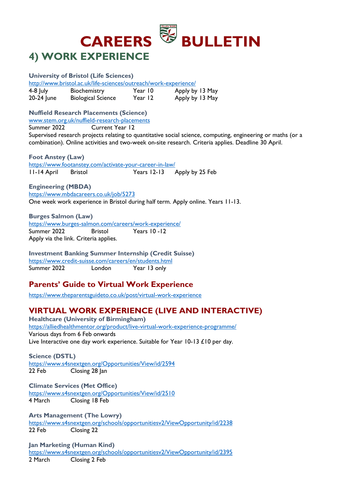

#### **University of Bristol (Life Sciences)**  <http://www.bristol.ac.uk/life-sciences/outreach/work-experience/> 4-8 July Biochemistry Year 10 Apply by 13 May

20-24 June Biological Science Year 12 Apply by 13 May

#### **Nuffield Research Placements (Science)**

[www.stem.org.uk/nuffield-research-placements](http://www.stem.org.uk/nuffield-research-placements) Summer 2022 Current Year 12

Supervised research projects relating to quantitative social science, computing, engineering or maths (or a combination). Online activities and two-week on-site research. Criteria applies. Deadline 30 April.

#### **Foot Anstey (Law)**  <https://www.footanstey.com/activate-your-career-in-law/>

11-14 April Bristol Years 12-13 Apply by 25 Feb

**Engineering (MBDA)**  <https://www.mbdacareers.co.uk/job/5273> One week work experience in Bristol during half term. Apply online. Years 11-13.

**Burges Salmon (Law)** 

<https://www.burges-salmon.com/careers/work-experience/> Summer 2022 Bristol Years 10 -12 Apply via the link. Criteria applies.

**Investment Banking Summer Internship (Credit Suisse)**  <https://www.credit-suisse.com/careers/en/students.html> Summer 2022 London Year 13 only

## **Parents' Guide to Virtual Work Experience**

<https://www.theparentsguideto.co.uk/post/virtual-work-experience>

## **VIRTUAL WORK EXPERIENCE (LIVE AND INTERACTIVE)**

**Healthcare (University of Birmingham)**  <https://alliedhealthmentor.org/product/live-virtual-work-experience-programme/> Various days from 6 Feb onwards Live Interactive one day work experience. Suitable for Year 10-13 £10 per day.

**Science (DSTL)**  <https://www.s4snextgen.org/Opportunities/View/id/2594> 22 Feb Closing 28 Jan

**Climate Services (Met Office)**  <https://www.s4snextgen.org/Opportunities/View/id/2510> 4 March Closing 18 Feb

**Arts Management (The Lowry)** <https://www.s4snextgen.org/schools/opportunitiesv2/ViewOpportunity/id/2238> 22 Feb Closing 22

**Jan Marketing (Human Kind)**  <https://www.s4snextgen.org/schools/opportunitiesv2/ViewOpportunity/id/2395> 2 March Closing 2 Feb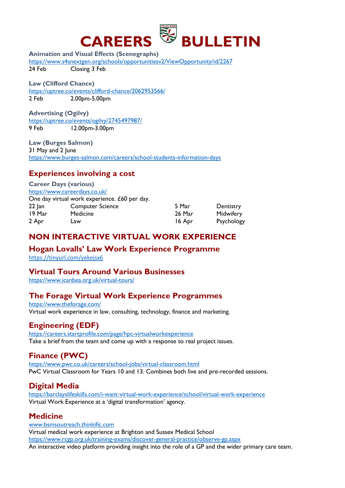

**Animation and Visual Effects (Scenegraphs)**

<https://www.s4snextgen.org/schools/opportunitiesv2/ViewOpportunity/id/2267>

24 Feb Closing 3 Feb

**Law (Clifford Chance)**  <https://uptree.co/events/clifford-chance/2062953566/> 2 Feb 2.00pm-5.00pm

**Advertising (Ogilvy)**  <https://uptree.co/events/ogilvy/2745497987/> 9 Feb 12.00pm-3.00pm

**Law (Burges Salmon)**  31 May and 2 June <https://www.burges-salmon.com/careers/school-students-information-days>

## **Experiences involving a cost**

|            | <b>Career Days (various)</b>                  |        |            |
|------------|-----------------------------------------------|--------|------------|
|            | https://www.careerdays.co.uk/                 |        |            |
|            | One day virtual work experience. £60 per day. |        |            |
| $22$ $ an$ | <b>Computer Science</b>                       | 5 Mar  | Dentistry  |
| 19 Mar     | Medicine                                      | 26 Mar | Midwifery  |
| 2 Apr      | Law                                           | 16 Apr | Psychology |

## **NON INTERACTIVE VIRTUAL WORK EXPERIENCE**

#### **Hogan Lovalls' Law Work Experience Programme**

<https://tinyurl.com/yekejsx6>

#### **Virtual Tours Around Various Businesses**

<https://www.icanbea.org.uk/virtual-tours/>

## **The Forage Virtual Work Experience Programmes**

<https://www.theforage.com/> Virtual work experience in law, consulting, technology, finance and marketing.

## **Engineering (EDF)**

<https://careers.startprofile.com/page/hpc-virtualworkexperience> Take a brief from the team and come up with a response to real project issues.

## **Finance (PWC)**

<https://www.pwc.co.uk/careers/school-jobs/virtual-classroom.html> PwC Virtual Classroom for Years 10 and 13. Combines both live and pre-recorded sessions.

## **Digital Media**

<https://barclayslifeskills.com/i-want-virtual-work-experience/school/virtual-work-experience> Virtual Work Experience at a 'digital transformation' agency.

#### **Medicine**

[www.bsmsoutreach.thinkific.com](http://www.bsmsoutreach.thinkific.com/) Virtual medical work experience at Brighton and Sussex Medical School <https://www.rcgp.org.uk/training-exams/discover-general-practice/observe-gp.aspx> An interactive video platform providing insight into the role of a GP and the wider primary care team.